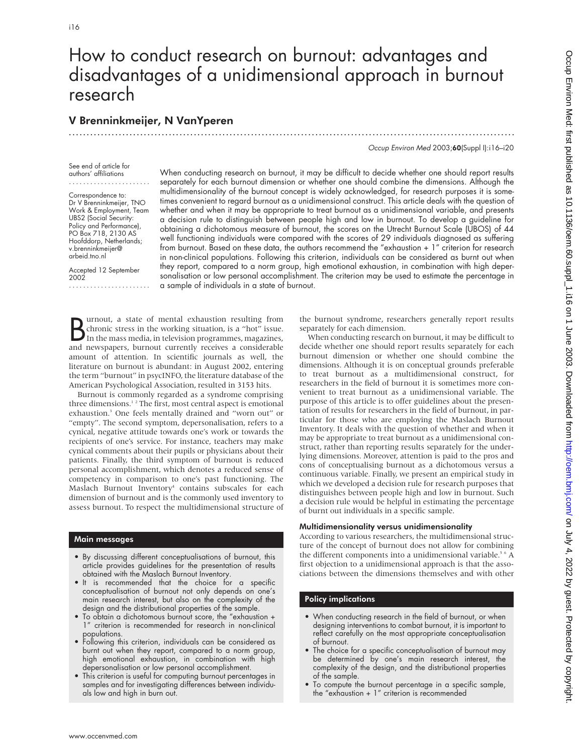# How to conduct research on burnout: advantages and disadvantages of a unidimensional approach in burnout research

.............................................................................................................................

# V Brenninkmeijer, N VanYperen

Occup Environ Med 2003;60(Suppl I):i16–i20

See end of article for authors' affiliations

Correspondence to: Dr V Brenninkmeijer, TNO Work & Employment, Team UBS2 (Social Security: Policy and Performance), PO Box 718, 2130 AS Hoofddorp, Netherlands; v.brenninkmeijer@ arbeid.tno.nl

Accepted 12 September 2002 ....................... When conducting research on burnout, it may be difficult to decide whether one should report results separately for each burnout dimension or whether one should combine the dimensions. Although the multidimensionality of the burnout concept is widely acknowledged, for research purposes it is sometimes convenient to regard burnout as a unidimensional construct. This article deals with the question of whether and when it may be appropriate to treat burnout as a unidimensional variable, and presents a decision rule to distinguish between people high and low in burnout. To develop a guideline for obtaining a dichotomous measure of burnout, the scores on the Utrecht Burnout Scale (UBOS) of 44 well functioning individuals were compared with the scores of 29 individuals diagnosed as suffering from burnout. Based on these data, the authors recommend the "exhaustion + 1" criterion for research in non-clinical populations. Following this criterion, individuals can be considered as burnt out when they report, compared to a norm group, high emotional exhaustion, in combination with high depersonalisation or low personal accomplishment. The criterion may be used to estimate the percentage in a sample of individuals in a state of burnout.

**B** urnout, a state of mental exhaustion resulting from<br>thronic stress in the working situation, is a "hot" issue.<br>In the mass media, in television programmes, magazines,<br>and newspapers, burnout currently receives a consid urnout, a state of mental exhaustion resulting from chronic stress in the working situation, is a "hot" issue. In the mass media, in television programmes, magazines, amount of attention. In scientific journals as well, the literature on burnout is abundant: in August 2002, entering the term "burnout" in psycINFO, the literature database of the American Psychological Association, resulted in 3153 hits.

Burnout is commonly regarded as a syndrome comprising three dimensions.<sup>12</sup> The first, most central aspect is emotional exhaustion.<sup>3</sup> One feels mentally drained and "worn out" or "empty". The second symptom, depersonalisation, refers to a cynical, negative attitude towards one's work or towards the recipients of one's service. For instance, teachers may make cynical comments about their pupils or physicians about their patients. Finally, the third symptom of burnout is reduced personal accomplishment, which denotes a reduced sense of competency in comparison to one's past functioning. The Maslach Burnout Inventory<sup>4</sup> contains subscales for each dimension of burnout and is the commonly used inventory to assess burnout. To respect the multidimensional structure of

#### Main messages

- By discussing different conceptualisations of burnout, this article provides guidelines for the presentation of results obtained with the Maslach Burnout Inventory.
- It is recommended that the choice for a specific conceptualisation of burnout not only depends on one's main research interest, but also on the complexity of the design and the distributional properties of the sample.
- To obtain a dichotomous burnout score, the "exhaustion + 1" criterion is recommended for research in non-clinical populations.
- Following this criterion, individuals can be considered as burnt out when they report, compared to a norm group, high emotional exhaustion, in combination with high depersonalisation or low personal accomplishment.
- This criterion is useful for computing burnout percentages in samples and for investigating differences between individuals low and high in burn out.

the burnout syndrome, researchers generally report results separately for each dimension.

When conducting research on burnout, it may be difficult to decide whether one should report results separately for each burnout dimension or whether one should combine the dimensions. Although it is on conceptual grounds preferable to treat burnout as a multidimensional construct, for researchers in the field of burnout it is sometimes more convenient to treat burnout as a unidimensional variable. The purpose of this article is to offer guidelines about the presentation of results for researchers in the field of burnout, in particular for those who are employing the Maslach Burnout Inventory. It deals with the question of whether and when it may be appropriate to treat burnout as a unidimensional construct, rather than reporting results separately for the underlying dimensions. Moreover, attention is paid to the pros and cons of conceptualising burnout as a dichotomous versus a continuous variable. Finally, we present an empirical study in which we developed a decision rule for research purposes that distinguishes between people high and low in burnout. Such a decision rule would be helpful in estimating the percentage of burnt out individuals in a specific sample.

#### Multidimensionality versus unidimensionality

According to various researchers, the multidimensional structure of the concept of burnout does not allow for combining the different components into a unidimensional variable.<sup>56</sup> A first objection to a unidimensional approach is that the associations between the dimensions themselves and with other

## Policy implications

- When conducting research in the field of burnout, or when designing interventions to combat burnout, it is important to reflect carefully on the most appropriate conceptualisation of burnout.
- The choice for a specific conceptualisation of burnout may be determined by one's main research interest, the complexity of the design, and the distributional properties of the sample.
- To compute the burnout percentage in a specific sample, the "exhaustion + 1" criterion is recommended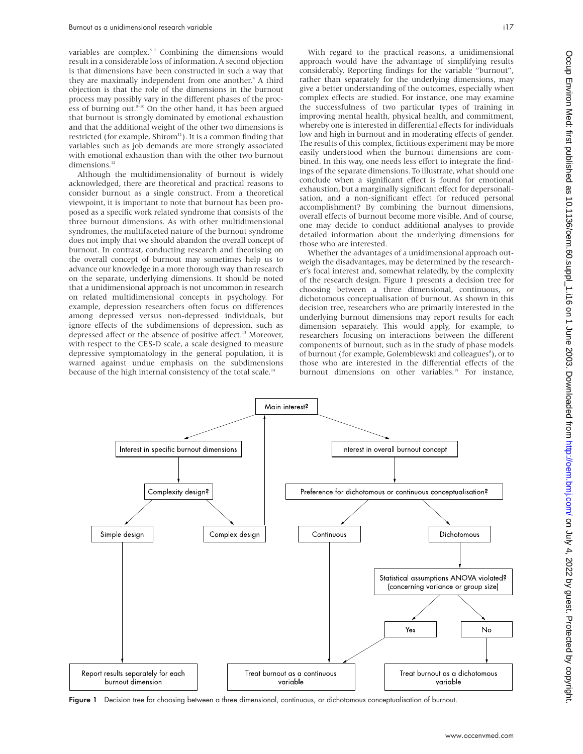variables are complex.<sup>57</sup> Combining the dimensions would result in a considerable loss of information. A second objection is that dimensions have been constructed in such a way that they are maximally independent from one another.<sup>4</sup> A third objection is that the role of the dimensions in the burnout process may possibly vary in the different phases of the process of burning out. $8-10$  On the other hand, it has been argued that burnout is strongly dominated by emotional exhaustion and that the additional weight of the other two dimensions is restricted (for example, Shirom<sup>11</sup>). It is a common finding that variables such as job demands are more strongly associated with emotional exhaustion than with the other two burnout dimensions.<sup>12</sup>

Although the multidimensionality of burnout is widely acknowledged, there are theoretical and practical reasons to consider burnout as a single construct. From a theoretical viewpoint, it is important to note that burnout has been proposed as a specific work related syndrome that consists of the three burnout dimensions. As with other multidimensional syndromes, the multifaceted nature of the burnout syndrome does not imply that we should abandon the overall concept of burnout. In contrast, conducting research and theorising on the overall concept of burnout may sometimes help us to advance our knowledge in a more thorough way than research on the separate, underlying dimensions. It should be noted that a unidimensional approach is not uncommon in research on related multidimensional concepts in psychology. For example, depression researchers often focus on differences among depressed versus non-depressed individuals, but ignore effects of the subdimensions of depression, such as depressed affect or the absence of positive affect.<sup>13</sup> Moreover, with respect to the CES-D scale, a scale designed to measure depressive symptomatology in the general population, it is warned against undue emphasis on the subdimensions because of the high internal consistency of the total scale.<sup>14</sup>

With regard to the practical reasons, a unidimensional approach would have the advantage of simplifying results considerably. Reporting findings for the variable "burnout", rather than separately for the underlying dimensions, may give a better understanding of the outcomes, especially when complex effects are studied. For instance, one may examine the successfulness of two particular types of training in improving mental health, physical health, and commitment, whereby one is interested in differential effects for individuals low and high in burnout and in moderating effects of gender. The results of this complex, fictitious experiment may be more easily understood when the burnout dimensions are combined. In this way, one needs less effort to integrate the findings of the separate dimensions. To illustrate, what should one conclude when a significant effect is found for emotional exhaustion, but a marginally significant effect for depersonalisation, and a non-significant effect for reduced personal accomplishment? By combining the burnout dimensions, overall effects of burnout become more visible. And of course, one may decide to conduct additional analyses to provide detailed information about the underlying dimensions for those who are interested.

Whether the advantages of a unidimensional approach outweigh the disadvantages, may be determined by the researcher's focal interest and, somewhat relatedly, by the complexity of the research design. Figure 1 presents a decision tree for choosing between a three dimensional, continuous, or dichotomous conceptualisation of burnout. As shown in this decision tree, researchers who are primarily interested in the underlying burnout dimensions may report results for each dimension separately. This would apply, for example, to researchers focusing on interactions between the different components of burnout, such as in the study of phase models of burnout (for example, Golembiewski and colleagues<sup>8</sup>), or to those who are interested in the differential effects of the burnout dimensions on other variables.<sup>15</sup> For instance,



Figure 1 Decision tree for choosing between a three dimensional, continuous, or dichotomous conceptualisation of burnout.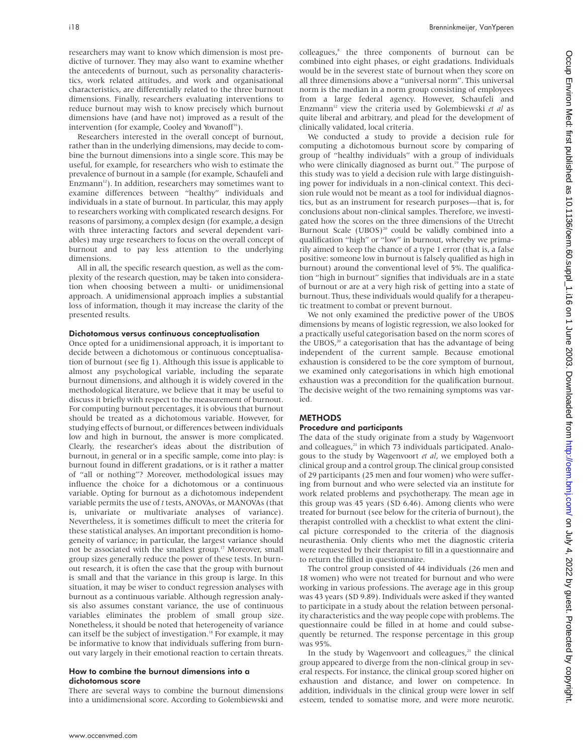researchers may want to know which dimension is most predictive of turnover. They may also want to examine whether the antecedents of burnout, such as personality characteristics, work related attitudes, and work and organisational characteristics, are differentially related to the three burnout dimensions. Finally, researchers evaluating interventions to reduce burnout may wish to know precisely which burnout dimensions have (and have not) improved as a result of the intervention (for example, Cooley and Yovanoff<sup>16</sup>).

Researchers interested in the overall concept of burnout, rather than in the underlying dimensions, may decide to combine the burnout dimensions into a single score. This may be useful, for example, for researchers who wish to estimate the prevalence of burnout in a sample (for example, Schaufeli and Enzmann<sup>12</sup>). In addition, researchers may sometimes want to examine differences between "healthy" individuals and individuals in a state of burnout. In particular, this may apply to researchers working with complicated research designs. For reasons of parsimony, a complex design (for example, a design with three interacting factors and several dependent variables) may urge researchers to focus on the overall concept of burnout and to pay less attention to the underlying dimensions.

All in all, the specific research question, as well as the complexity of the research question, may be taken into consideration when choosing between a multi- or unidimensional approach. A unidimensional approach implies a substantial loss of information, though it may increase the clarity of the presented results.

#### Dichotomous versus continuous conceptualisation

Once opted for a unidimensional approach, it is important to decide between a dichotomous or continuous conceptualisation of burnout (see fig 1). Although this issue is applicable to almost any psychological variable, including the separate burnout dimensions, and although it is widely covered in the methodological literature, we believe that it may be useful to discuss it briefly with respect to the measurement of burnout. For computing burnout percentages, it is obvious that burnout should be treated as a dichotomous variable. However, for studying effects of burnout, or differences between individuals low and high in burnout, the answer is more complicated. Clearly, the researcher's ideas about the distribution of burnout, in general or in a specific sample, come into play: is burnout found in different gradations, or is it rather a matter of "all or nothing"? Moreover, methodological issues may influence the choice for a dichotomous or a continuous variable. Opting for burnout as a dichotomous independent variable permits the use of *t* tests, ANOVAs, or MANOVAs (that is, univariate or multivariate analyses of variance). Nevertheless, it is sometimes difficult to meet the criteria for these statistical analyses. An important precondition is homogeneity of variance; in particular, the largest variance should not be associated with the smallest group.<sup>17</sup> Moreover, small group sizes generally reduce the power of these tests. In burnout research, it is often the case that the group with burnout is small and that the variance in this group is large. In this situation, it may be wiser to conduct regression analyses with burnout as a continuous variable. Although regression analysis also assumes constant variance, the use of continuous variables eliminates the problem of small group size. Nonetheless, it should be noted that heterogeneity of variance can itself be the subject of investigation.<sup>18</sup> For example, it may be informative to know that individuals suffering from burnout vary largely in their emotional reaction to certain threats.

#### How to combine the burnout dimensions into a dichotomous score

There are several ways to combine the burnout dimensions into a unidimensional score. According to Golembiewski and colleagues,<sup>8</sup> the three components of burnout can be combined into eight phases, or eight gradations. Individuals would be in the severest state of burnout when they score on all three dimensions above a "universal norm". This universal norm is the median in a norm group consisting of employees from a large federal agency. However, Schaufeli and Enzmann<sup>12</sup> view the criteria used by Golembiewski et al as quite liberal and arbitrary, and plead for the development of clinically validated, local criteria.

We conducted a study to provide a decision rule for computing a dichotomous burnout score by comparing of group of "healthy individuals" with a group of individuals who were clinically diagnosed as burnt out.<sup>19</sup> The purpose of this study was to yield a decision rule with large distinguishing power for individuals in a non-clinical context. This decision rule would not be meant as a tool for individual diagnostics, but as an instrument for research purposes—that is, for conclusions about non-clinical samples. Therefore, we investigated how the scores on the three dimensions of the Utrecht Burnout Scale (UBOS)<sup>20</sup> could be validly combined into a qualification "high" or "low" in burnout, whereby we primarily aimed to keep the chance of a type 1 error (that is, a false positive: someone low in burnout is falsely qualified as high in burnout) around the conventional level of 5%. The qualification "high in burnout" signifies that individuals are in a state of burnout or are at a very high risk of getting into a state of burnout. Thus, these individuals would qualify for a therapeutic treatment to combat or prevent burnout.

We not only examined the predictive power of the UBOS dimensions by means of logistic regression, we also looked for a practically useful categorisation based on the norm scores of the UBOS,<sup>20</sup> a categorisation that has the advantage of being independent of the current sample. Because emotional exhaustion is considered to be the core symptom of burnout, we examined only categorisations in which high emotional exhaustion was a precondition for the qualification burnout. The decisive weight of the two remaining symptoms was varied.

# **METHODS**

## Procedure and participants

The data of the study originate from a study by Wagenvoort and colleagues, $21$  in which 73 individuals participated. Analogous to the study by Wagenvoort *et al*, we employed both a clinical group and a control group. The clinical group consisted of 29 participants (25 men and four women) who were suffering from burnout and who were selected via an institute for work related problems and psychotherapy. The mean age in this group was 45 years (SD 6.46). Among clients who were treated for burnout (see below for the criteria of burnout), the therapist controlled with a checklist to what extent the clinical picture corresponded to the criteria of the diagnosis neurasthenia. Only clients who met the diagnostic criteria were requested by their therapist to fill in a questionnaire and to return the filled in questionnaire.

The control group consisted of 44 individuals (26 men and 18 women) who were not treated for burnout and who were working in various professions. The average age in this group was 43 years (SD 9.89). Individuals were asked if they wanted to participate in a study about the relation between personality characteristics and the way people cope with problems. The questionnaire could be filled in at home and could subsequently be returned. The response percentage in this group was 95%.

In the study by Wagenvoort and colleagues, $21$  the clinical group appeared to diverge from the non-clinical group in several respects. For instance, the clinical group scored higher on exhaustion and distance, and lower on competence. In addition, individuals in the clinical group were lower in self esteem, tended to somatise more, and were more neurotic.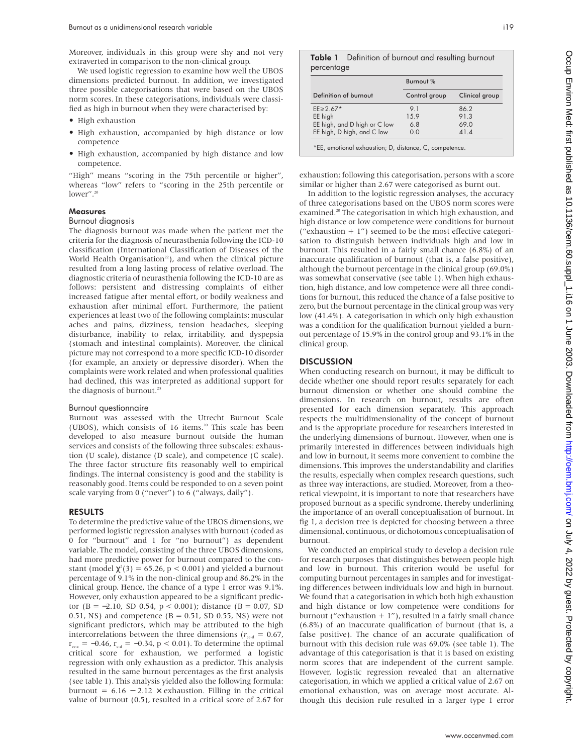Moreover, individuals in this group were shy and not very extraverted in comparison to the non-clinical group.

We used logistic regression to examine how well the UBOS dimensions predicted burnout. In addition, we investigated three possible categorisations that were based on the UBOS norm scores. In these categorisations, individuals were classified as high in burnout when they were characterised by:

- High exhaustion
- High exhaustion, accompanied by high distance or low competence
- High exhaustion, accompanied by high distance and low competence.

"High" means "scoring in the 75th percentile or higher", whereas "low" refers to "scoring in the 25th percentile or lower".<sup>20</sup>

#### **Measures**

#### Burnout diagnosis

The diagnosis burnout was made when the patient met the criteria for the diagnosis of neurasthenia following the ICD-10 classification (International Classification of Diseases of the World Health Organisation<sup>22</sup>), and when the clinical picture resulted from a long lasting process of relative overload. The diagnostic criteria of neurasthenia following the ICD-10 are as follows: persistent and distressing complaints of either increased fatigue after mental effort, or bodily weakness and exhaustion after minimal effort. Furthermore, the patient experiences at least two of the following complaints: muscular aches and pains, dizziness, tension headaches, sleeping disturbance, inability to relax, irritability, and dyspepsia (stomach and intestinal complaints). Moreover, the clinical picture may not correspond to a more specific ICD-10 disorder (for example, an anxiety or depressive disorder). When the complaints were work related and when professional qualities had declined, this was interpreted as additional support for the diagnosis of burnout.<sup>23</sup>

#### Burnout questionnaire

Burnout was assessed with the Utrecht Burnout Scale (UBOS), which consists of 16 items.<sup>20</sup> This scale has been developed to also measure burnout outside the human services and consists of the following three subscales: exhaustion (U scale), distance (D scale), and competence (C scale). The three factor structure fits reasonably well to empirical findings. The internal consistency is good and the stability is reasonably good. Items could be responded to on a seven point scale varying from 0 ("never") to 6 ("always, daily").

#### RESULTS

To determine the predictive value of the UBOS dimensions, we performed logistic regression analyses with burnout (coded as 0 for "burnout" and 1 for "no burnout") as dependent variable. The model, consisting of the three UBOS dimensions, had more predictive power for burnout compared to the constant (model  $\chi^2(3) = 65.26$ , p < 0.001) and yielded a burnout percentage of 9.1% in the non-clinical group and 86.2% in the clinical group. Hence, the chance of a type 1 error was 9.1%. However, only exhaustion appeared to be a significant predictor (B =  $-2.10$ , SD 0.54, p < 0.001); distance (B = 0.07, SD 0.51, NS) and competence  $(B = 0.51, SD 0.55, NS)$  were not significant predictors, which may be attributed to the high intercorrelations between the three dimensions ( $r_{\text{eq}} = 0.67$ ,  $r_{\text{ee-c}}$  = −0.46,  $r_{\text{c-d}}$  = −0.34, p < 0.01). To determine the optimal critical score for exhaustion, we performed a logistic regression with only exhaustion as a predictor. This analysis resulted in the same burnout percentages as the first analysis (see table 1). This analysis yielded also the following formula: burnout =  $6.16 - 2.12 \times$  exhaustion. Filling in the critical value of burnout (0.5), resulted in a critical score of 2.67 for

### Table 1 Definition of burnout and resulting burnout percentage

| Burnout %     |                |
|---------------|----------------|
| Control group | Clinical group |
| 9 1           | 86.2           |
| 15.9          | 91.3           |
| 6.8           | 69.0           |
| 0.0           | 41.4           |
|               |                |

exhaustion; following this categorisation, persons with a score similar or higher than 2.67 were categorised as burnt out.

In addition to the logistic regression analyses, the accuracy of three categorisations based on the UBOS norm scores were examined.<sup>20</sup> The categorisation in which high exhaustion, and high distance or low competence were conditions for burnout ("exhaustion  $+ 1$ ") seemed to be the most effective categorisation to distinguish between individuals high and low in burnout. This resulted in a fairly small chance (6.8%) of an inaccurate qualification of burnout (that is, a false positive), although the burnout percentage in the clinical group (69.0%) was somewhat conservative (see table 1). When high exhaustion, high distance, and low competence were all three conditions for burnout, this reduced the chance of a false positive to zero, but the burnout percentage in the clinical group was very low (41.4%). A categorisation in which only high exhaustion was a condition for the qualification burnout yielded a burnout percentage of 15.9% in the control group and 93.1% in the clinical group.

#### **DISCUSSION**

When conducting research on burnout, it may be difficult to decide whether one should report results separately for each burnout dimension or whether one should combine the dimensions. In research on burnout, results are often presented for each dimension separately. This approach respects the multidimensionality of the concept of burnout and is the appropriate procedure for researchers interested in the underlying dimensions of burnout. However, when one is primarily interested in differences between individuals high and low in burnout, it seems more convenient to combine the dimensions. This improves the understandability and clarifies the results, especially when complex research questions, such as three way interactions, are studied. Moreover, from a theoretical viewpoint, it is important to note that researchers have proposed burnout as a specific syndrome, thereby underlining the importance of an overall conceptualisation of burnout. In fig 1, a decision tree is depicted for choosing between a three dimensional, continuous, or dichotomous conceptualisation of burnout.

We conducted an empirical study to develop a decision rule for research purposes that distinguishes between people high and low in burnout. This criterion would be useful for computing burnout percentages in samples and for investigating differences between individuals low and high in burnout. We found that a categorisation in which both high exhaustion and high distance or low competence were conditions for burnout ("exhaustion  $+ 1$ "), resulted in a fairly small chance (6.8%) of an inaccurate qualification of burnout (that is, a false positive). The chance of an accurate qualification of burnout with this decision rule was 69.0% (see table 1). The advantage of this categorisation is that it is based on existing norm scores that are independent of the current sample. However, logistic regression revealed that an alternative categorisation, in which we applied a critical value of 2.67 on emotional exhaustion, was on average most accurate. Although this decision rule resulted in a larger type 1 error